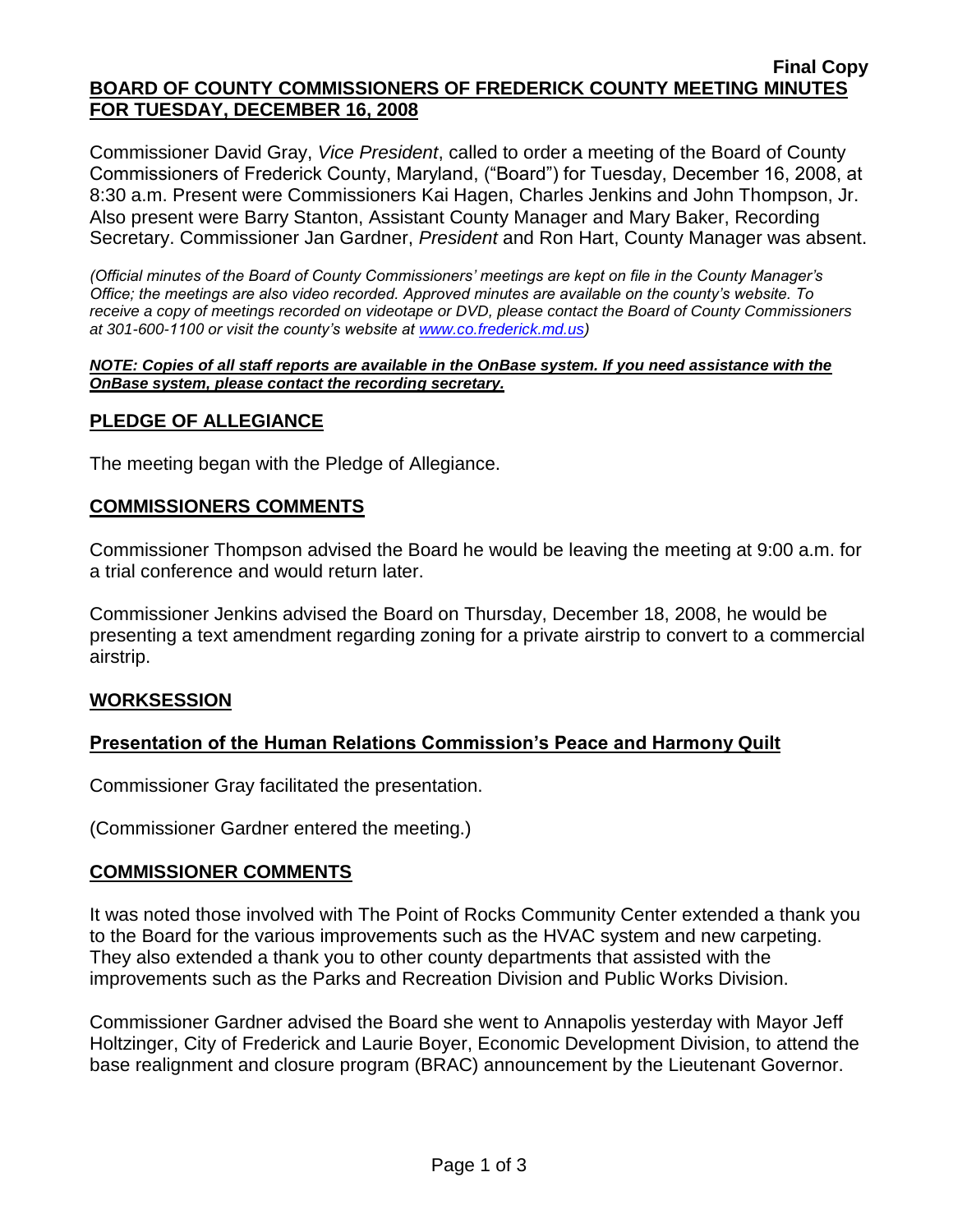#### **Final Copy BOARD OF COUNTY COMMISSIONERS OF FREDERICK COUNTY MEETING MINUTES FOR TUESDAY, DECEMBER 16, 2008**

Commissioner David Gray, *Vice President*, called to order a meeting of the Board of County Commissioners of Frederick County, Maryland, ("Board") for Tuesday, December 16, 2008, at 8:30 a.m. Present were Commissioners Kai Hagen, Charles Jenkins and John Thompson, Jr. Also present were Barry Stanton, Assistant County Manager and Mary Baker, Recording Secretary. Commissioner Jan Gardner, *President* and Ron Hart, County Manager was absent.

*(Official minutes of the Board of County Commissioners' meetings are kept on file in the County Manager's Office; the meetings are also video recorded. Approved minutes are available on the county's website. To receive a copy of meetings recorded on videotape or DVD, please contact the Board of County Commissioners at 301-600-1100 or visit the county's website at [www.co.frederick.md.us\)](http://www.co.frederick.md.us/)*

#### *NOTE: Copies of all staff reports are available in the OnBase system. If you need assistance with the OnBase system, please contact the recording secretary.*

## **PLEDGE OF ALLEGIANCE**

The meeting began with the Pledge of Allegiance.

## **COMMISSIONERS COMMENTS**

Commissioner Thompson advised the Board he would be leaving the meeting at 9:00 a.m. for a trial conference and would return later.

Commissioner Jenkins advised the Board on Thursday, December 18, 2008, he would be presenting a text amendment regarding zoning for a private airstrip to convert to a commercial airstrip.

## **WORKSESSION**

# **Presentation of the Human Relations Commission's Peace and Harmony Quilt**

Commissioner Gray facilitated the presentation.

(Commissioner Gardner entered the meeting.)

## **COMMISSIONER COMMENTS**

It was noted those involved with The Point of Rocks Community Center extended a thank you to the Board for the various improvements such as the HVAC system and new carpeting. They also extended a thank you to other county departments that assisted with the improvements such as the Parks and Recreation Division and Public Works Division.

Commissioner Gardner advised the Board she went to Annapolis yesterday with Mayor Jeff Holtzinger, City of Frederick and Laurie Boyer, Economic Development Division, to attend the base realignment and closure program (BRAC) announcement by the Lieutenant Governor.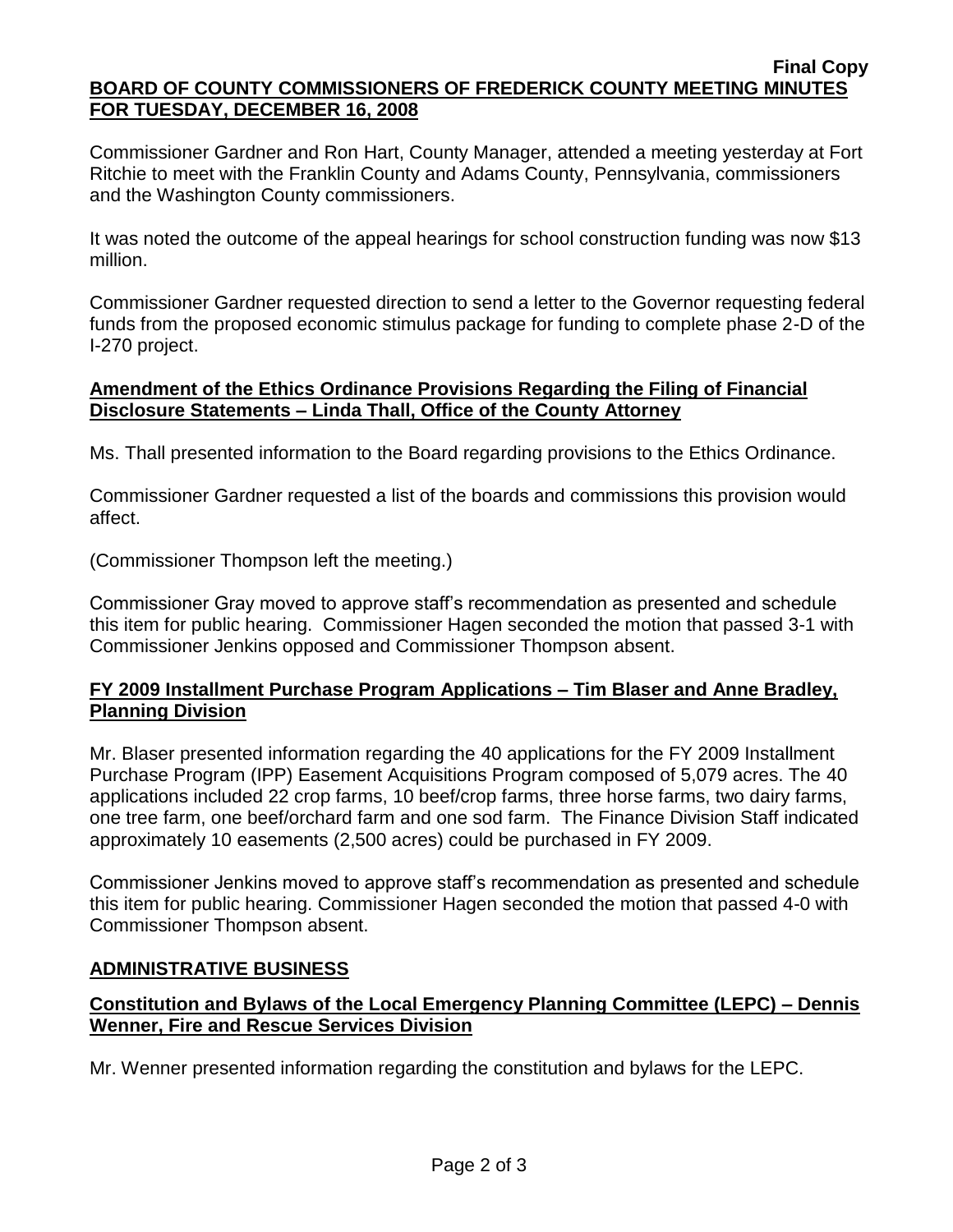#### **Final Copy BOARD OF COUNTY COMMISSIONERS OF FREDERICK COUNTY MEETING MINUTES FOR TUESDAY, DECEMBER 16, 2008**

Commissioner Gardner and Ron Hart, County Manager, attended a meeting yesterday at Fort Ritchie to meet with the Franklin County and Adams County, Pennsylvania, commissioners and the Washington County commissioners.

It was noted the outcome of the appeal hearings for school construction funding was now \$13 million.

Commissioner Gardner requested direction to send a letter to the Governor requesting federal funds from the proposed economic stimulus package for funding to complete phase 2-D of the I-270 project.

## **Amendment of the Ethics Ordinance Provisions Regarding the Filing of Financial Disclosure Statements – Linda Thall, Office of the County Attorney**

Ms. Thall presented information to the Board regarding provisions to the Ethics Ordinance.

Commissioner Gardner requested a list of the boards and commissions this provision would affect.

(Commissioner Thompson left the meeting.)

Commissioner Gray moved to approve staff's recommendation as presented and schedule this item for public hearing. Commissioner Hagen seconded the motion that passed 3-1 with Commissioner Jenkins opposed and Commissioner Thompson absent.

## **FY 2009 Installment Purchase Program Applications – Tim Blaser and Anne Bradley, Planning Division**

Mr. Blaser presented information regarding the 40 applications for the FY 2009 Installment Purchase Program (IPP) Easement Acquisitions Program composed of 5,079 acres. The 40 applications included 22 crop farms, 10 beef/crop farms, three horse farms, two dairy farms, one tree farm, one beef/orchard farm and one sod farm. The Finance Division Staff indicated approximately 10 easements (2,500 acres) could be purchased in FY 2009.

Commissioner Jenkins moved to approve staff's recommendation as presented and schedule this item for public hearing. Commissioner Hagen seconded the motion that passed 4-0 with Commissioner Thompson absent.

# **ADMINISTRATIVE BUSINESS**

# **Constitution and Bylaws of the Local Emergency Planning Committee (LEPC) – Dennis Wenner, Fire and Rescue Services Division**

Mr. Wenner presented information regarding the constitution and bylaws for the LEPC.